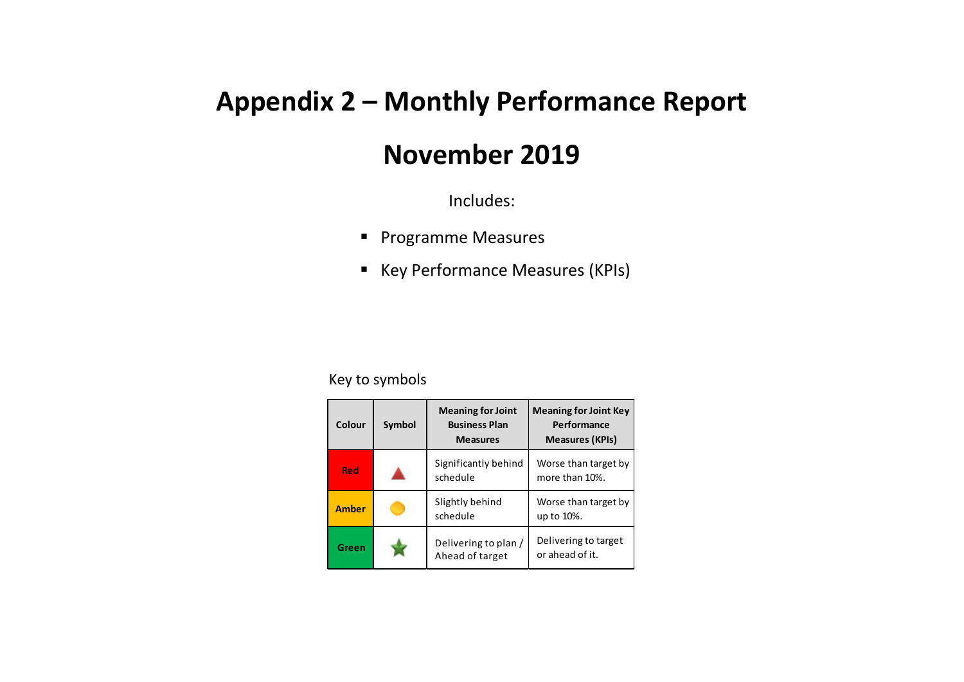## **Appendix 2 – Monthly Performance Report**

## **November 2019**

Includes:

- **Programme Measures**
- Key Performance Measures (KPIs)

## Key to symbols

| Colour       | <b>Symbol</b> | <b>Meaning for Joint</b><br><b>Business Plan</b><br><b>Measures</b> | <b>Meaning for Joint Key</b><br>Performance<br><b>Measures (KPIs)</b> |
|--------------|---------------|---------------------------------------------------------------------|-----------------------------------------------------------------------|
| <b>Red</b>   |               | Significantly behind<br>schedule                                    | Worse than target by<br>more than 10%.                                |
| <b>Amber</b> |               | Slightly behind<br>schedule                                         | Worse than target by<br>up to 10%.                                    |
| Green        |               | Delivering to plan /<br>Ahead of target                             | Delivering to target<br>or ahead of it.                               |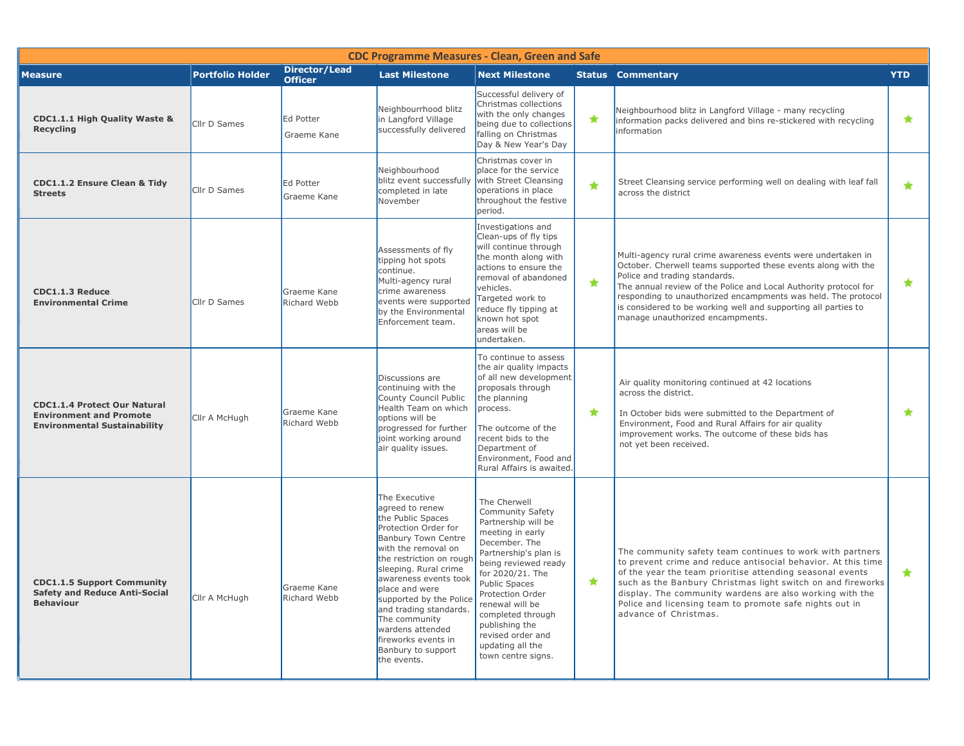| <b>CDC Programme Measures - Clean, Green and Safe</b>                                                        |                         |                                        |                                                                                                                                                                                                                                                                                                                                                                                          |                                                                                                                                                                                                                                                                                                                                        |               |                                                                                                                                                                                                                                                                                                                                                                                                           |            |  |  |  |
|--------------------------------------------------------------------------------------------------------------|-------------------------|----------------------------------------|------------------------------------------------------------------------------------------------------------------------------------------------------------------------------------------------------------------------------------------------------------------------------------------------------------------------------------------------------------------------------------------|----------------------------------------------------------------------------------------------------------------------------------------------------------------------------------------------------------------------------------------------------------------------------------------------------------------------------------------|---------------|-----------------------------------------------------------------------------------------------------------------------------------------------------------------------------------------------------------------------------------------------------------------------------------------------------------------------------------------------------------------------------------------------------------|------------|--|--|--|
| <b>Measure</b>                                                                                               | <b>Portfolio Holder</b> | <b>Director/Lead</b><br><b>Officer</b> | <b>Last Milestone</b>                                                                                                                                                                                                                                                                                                                                                                    | <b>Next Milestone</b>                                                                                                                                                                                                                                                                                                                  |               | <b>Status Commentary</b>                                                                                                                                                                                                                                                                                                                                                                                  | <b>YTD</b> |  |  |  |
| <b>CDC1.1.1 High Quality Waste &amp;</b><br><b>Recycling</b>                                                 | Cllr D Sames            | Ed Potter<br>Graeme Kane               | Neighbourrhood blitz<br>in Langford Village<br>successfully delivered                                                                                                                                                                                                                                                                                                                    | Successful delivery of<br>Christmas collections<br>with the only changes<br>being due to collections<br>falling on Christmas<br>Day & New Year's Day                                                                                                                                                                                   | $\star$       | Neighbourhood blitz in Langford Village - many recycling<br>information packs delivered and bins re-stickered with recycling<br>information                                                                                                                                                                                                                                                               | $\star$    |  |  |  |
| <b>CDC1.1.2 Ensure Clean &amp; Tidy</b><br><b>Streets</b>                                                    | Cllr D Sames            | <b>Ed Potter</b><br>Graeme Kane        | Neighbourhood<br>blitz event successfully<br>completed in late<br>November                                                                                                                                                                                                                                                                                                               | Christmas cover in<br>place for the service<br>with Street Cleansing<br>operations in place<br>throughout the festive<br>period.                                                                                                                                                                                                       | $\color{red}$ | Street Cleansing service performing well on dealing with leaf fall<br>across the district                                                                                                                                                                                                                                                                                                                 | $\bigstar$ |  |  |  |
| CDC1.1.3 Reduce<br><b>Environmental Crime</b>                                                                | Cllr D Sames            | Graeme Kane<br>Richard Webb            | Assessments of fly<br>tipping hot spots<br>continue.<br>Multi-agency rural<br>crime awareness<br>events were supported<br>by the Environmental<br>Enforcement team.                                                                                                                                                                                                                      | Investigations and<br>Clean-ups of fly tips<br>will continue through<br>the month along with<br>actions to ensure the<br>removal of abandoned<br>vehicles.<br>Targeted work to<br>reduce fly tipping at<br>known hot spot<br>areas will be<br>undertaken.                                                                              | ★             | Multi-agency rural crime awareness events were undertaken in<br>October. Cherwell teams supported these events along with the<br>Police and trading standards.<br>The annual review of the Police and Local Authority protocol for<br>responding to unauthorized encampments was held. The protocol<br>is considered to be working well and supporting all parties to<br>manage unauthorized encampments. | $\star$    |  |  |  |
| <b>CDC1.1.4 Protect Our Natural</b><br><b>Environment and Promote</b><br><b>Environmental Sustainability</b> | Cllr A McHugh           | Graeme Kane<br>Richard Webb            | Discussions are<br>continuing with the<br>County Council Public<br>Health Team on which<br>options will be<br>progressed for further<br>joint working around<br>air quality issues.                                                                                                                                                                                                      | To continue to assess<br>the air quality impacts<br>of all new development<br>proposals through<br>the planning<br>process.<br>The outcome of the<br>recent bids to the<br>Department of<br>Environment, Food and<br>Rural Affairs is awaited.                                                                                         | ★             | Air quality monitoring continued at 42 locations<br>across the district.<br>In October bids were submitted to the Department of<br>Environment, Food and Rural Affairs for air quality<br>improvement works. The outcome of these bids has<br>not yet been received.                                                                                                                                      | $\bigstar$ |  |  |  |
| <b>CDC1.1.5 Support Community</b><br><b>Safety and Reduce Anti-Social</b><br><b>Behaviour</b>                | Cllr A McHugh           | Graeme Kane<br>Richard Webb            | The Executive<br>agreed to renew<br>the Public Spaces<br>Protection Order for<br><b>Banbury Town Centre</b><br>with the removal on<br>the restriction on rough<br>sleeping. Rural crime<br>awareness events took<br>place and were<br>supported by the Police<br>and trading standards.<br>The community<br>wardens attended<br>fireworks events in<br>Banbury to support<br>the events. | The Cherwell<br>Community Safety<br>Partnership will be<br>meeting in early<br>December. The<br>Partnership's plan is<br>being reviewed ready<br>for 2020/21. The<br><b>Public Spaces</b><br>Protection Order<br>renewal will be<br>completed through<br>publishing the<br>revised order and<br>updating all the<br>town centre signs. | $\star$       | The community safety team continues to work with partners<br>to prevent crime and reduce antisocial behavior. At this time<br>of the year the team prioritise attending seasonal events<br>such as the Banbury Christmas light switch on and fireworks<br>display. The community wardens are also working with the<br>Police and licensing team to promote safe nights out in<br>advance of Christmas.    | $\star$    |  |  |  |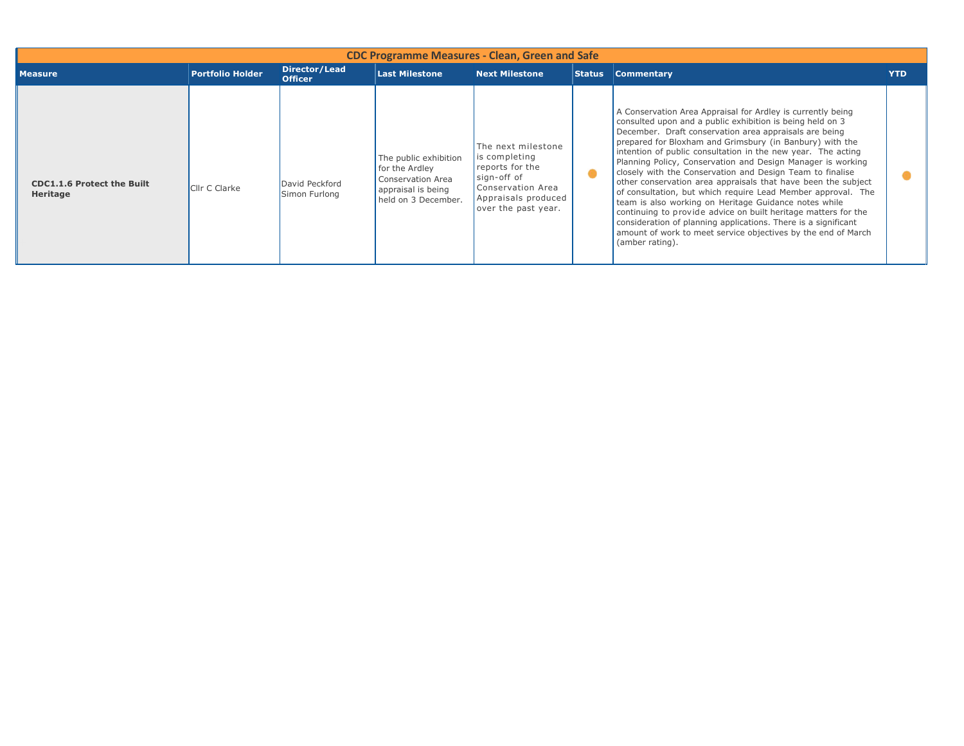| <b>CDC Programme Measures - Clean, Green and Safe</b> |                         |                                 |                                                                                                           |                                                                                                                                          |               |                                                                                                                                                                                                                                                                                                                                                                                                                                                                                                                                                                                                                                                                                                                                                                                                                                                              |            |  |  |  |
|-------------------------------------------------------|-------------------------|---------------------------------|-----------------------------------------------------------------------------------------------------------|------------------------------------------------------------------------------------------------------------------------------------------|---------------|--------------------------------------------------------------------------------------------------------------------------------------------------------------------------------------------------------------------------------------------------------------------------------------------------------------------------------------------------------------------------------------------------------------------------------------------------------------------------------------------------------------------------------------------------------------------------------------------------------------------------------------------------------------------------------------------------------------------------------------------------------------------------------------------------------------------------------------------------------------|------------|--|--|--|
| <b>Measure</b>                                        | <b>Portfolio Holder</b> | Director/Lead<br><b>Officer</b> | <b>Last Milestone</b>                                                                                     | <b>Next Milestone</b>                                                                                                                    | <b>Status</b> | <b>Commentary</b>                                                                                                                                                                                                                                                                                                                                                                                                                                                                                                                                                                                                                                                                                                                                                                                                                                            | <b>YTD</b> |  |  |  |
| <b>CDC1.1.6 Protect the Built</b><br>Heritage         | <b>Clir C Clarke</b>    | David Peckford<br>Simon Furlong | The public exhibition<br>for the Ardley<br>Conservation Area<br>appraisal is being<br>held on 3 December. | The next milestone<br>is completing<br>reports for the<br>sign-off of<br>Conservation Area<br>Appraisals produced<br>over the past year. |               | A Conservation Area Appraisal for Ardley is currently being<br>consulted upon and a public exhibition is being held on 3<br>December. Draft conservation area appraisals are being<br>prepared for Bloxham and Grimsbury (in Banbury) with the<br>intention of public consultation in the new year. The acting<br>Planning Policy, Conservation and Design Manager is working<br>closely with the Conservation and Design Team to finalise<br>other conservation area appraisals that have been the subject<br>of consultation, but which require Lead Member approval. The<br>team is also working on Heritage Guidance notes while<br>continuing to provide advice on built heritage matters for the<br>consideration of planning applications. There is a significant<br>amount of work to meet service objectives by the end of March<br>(amber rating). |            |  |  |  |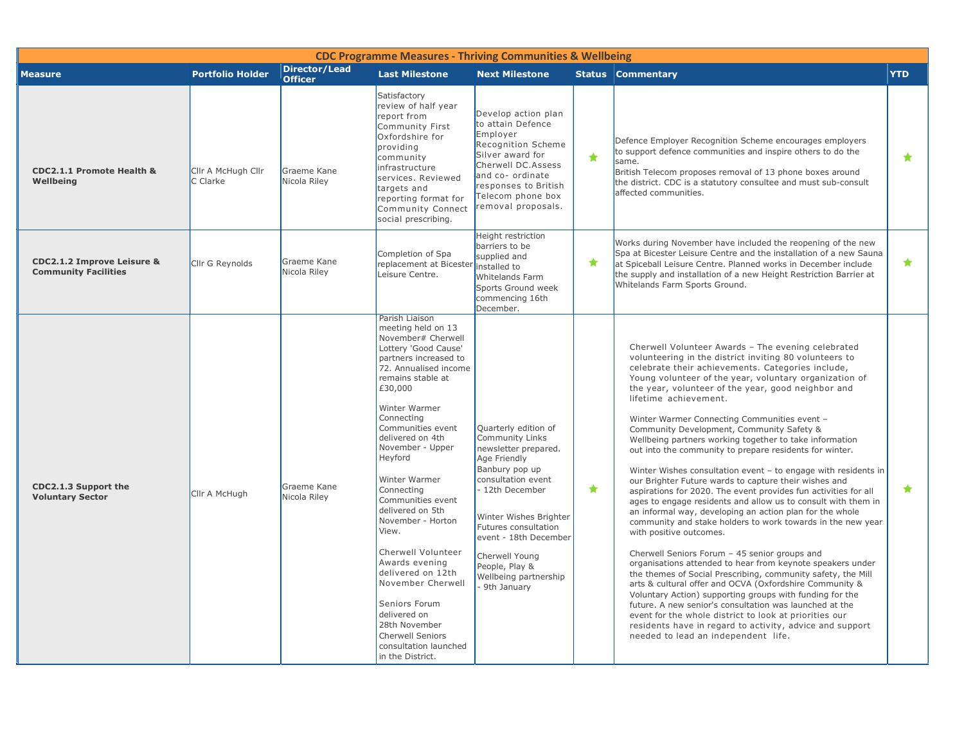| <b>CDC Programme Measures - Thriving Communities &amp; Wellbeing</b> |                                |                                 |                                                                                                                                                                                                                                                                                                                                                                                                                                                                                                                                                                                               |                                                                                                                                                                                                                                                                                                            |               |                                                                                                                                                                                                                                                                                                                                                                                                                                                                                                                                                                                                                                                                                                                                                                                                                                                                                                                                                                                                                                                                                                                                                                                                                                                                                                                                                                                                                                                                                    |            |  |  |  |
|----------------------------------------------------------------------|--------------------------------|---------------------------------|-----------------------------------------------------------------------------------------------------------------------------------------------------------------------------------------------------------------------------------------------------------------------------------------------------------------------------------------------------------------------------------------------------------------------------------------------------------------------------------------------------------------------------------------------------------------------------------------------|------------------------------------------------------------------------------------------------------------------------------------------------------------------------------------------------------------------------------------------------------------------------------------------------------------|---------------|------------------------------------------------------------------------------------------------------------------------------------------------------------------------------------------------------------------------------------------------------------------------------------------------------------------------------------------------------------------------------------------------------------------------------------------------------------------------------------------------------------------------------------------------------------------------------------------------------------------------------------------------------------------------------------------------------------------------------------------------------------------------------------------------------------------------------------------------------------------------------------------------------------------------------------------------------------------------------------------------------------------------------------------------------------------------------------------------------------------------------------------------------------------------------------------------------------------------------------------------------------------------------------------------------------------------------------------------------------------------------------------------------------------------------------------------------------------------------------|------------|--|--|--|
| <b>Measure</b>                                                       | <b>Portfolio Holder</b>        | Director/Lead<br><b>Officer</b> | <b>Last Milestone</b>                                                                                                                                                                                                                                                                                                                                                                                                                                                                                                                                                                         | <b>Next Milestone</b>                                                                                                                                                                                                                                                                                      |               | <b>Status Commentary</b>                                                                                                                                                                                                                                                                                                                                                                                                                                                                                                                                                                                                                                                                                                                                                                                                                                                                                                                                                                                                                                                                                                                                                                                                                                                                                                                                                                                                                                                           | <b>YTD</b> |  |  |  |
| CDC2.1.1 Promote Health &<br>Wellbeing                               | Cllr A McHugh Cllr<br>C Clarke | Graeme Kane<br>Nicola Riley     | Satisfactory<br>review of half year<br>report from<br>Community First<br>Oxfordshire for<br>providing<br>community<br>infrastructure<br>services. Reviewed<br>targets and<br>reporting format for<br>Community Connect<br>social prescribing.                                                                                                                                                                                                                                                                                                                                                 | Develop action plan<br>to attain Defence<br>Employer<br>Recognition Scheme<br>Silver award for<br>Cherwell DC.Assess<br>and co- ordinate<br>responses to British<br>Telecom phone box<br>removal proposals.                                                                                                | $\color{red}$ | Defence Employer Recognition Scheme encourages employers<br>to support defence communities and inspire others to do the<br>same.<br>British Telecom proposes removal of 13 phone boxes around<br>the district. CDC is a statutory consultee and must sub-consult<br>affected communities.                                                                                                                                                                                                                                                                                                                                                                                                                                                                                                                                                                                                                                                                                                                                                                                                                                                                                                                                                                                                                                                                                                                                                                                          | $\star$    |  |  |  |
| <b>CDC2.1.2 Improve Leisure &amp;</b><br><b>Community Facilities</b> | Cllr G Reynolds                | Graeme Kane<br>Nicola Riley     | Completion of Spa<br>replacement at Bicester installed to<br>Leisure Centre.                                                                                                                                                                                                                                                                                                                                                                                                                                                                                                                  | Height restriction<br>barriers to be<br>supplied and<br>Whitelands Farm<br>Sports Ground week<br>commencing 16th<br>December.                                                                                                                                                                              | $\star$       | Works during November have included the reopening of the new<br>Spa at Bicester Leisure Centre and the installation of a new Sauna<br>at Spiceball Leisure Centre. Planned works in December include<br>the supply and installation of a new Height Restriction Barrier at<br>Whitelands Farm Sports Ground.                                                                                                                                                                                                                                                                                                                                                                                                                                                                                                                                                                                                                                                                                                                                                                                                                                                                                                                                                                                                                                                                                                                                                                       | $\star$    |  |  |  |
| CDC2.1.3 Support the<br><b>Voluntary Sector</b>                      | Cllr A McHugh                  | Graeme Kane<br>Nicola Riley     | Parish Liaison<br>meeting held on 13<br>November# Cherwell<br>Lottery 'Good Cause'<br>partners increased to<br>72. Annualised income<br>remains stable at<br>£30,000<br>Winter Warmer<br>Connecting<br>Communities event<br>delivered on 4th<br>November - Upper<br>Heyford<br>Winter Warmer<br>Connecting<br>Communities event<br>delivered on 5th<br>November - Horton<br>View.<br>Cherwell Volunteer<br>Awards evening<br>delivered on 12th<br>November Cherwell<br>Seniors Forum<br>delivered on<br>28th November<br><b>Cherwell Seniors</b><br>consultation launched<br>in the District. | Quarterly edition of<br><b>Community Links</b><br>newsletter prepared.<br>Age Friendly<br>Banbury pop up<br>consultation event<br>- 12th December<br>Winter Wishes Brighter<br>Futures consultation<br>event - 18th December<br>Cherwell Young<br>People, Play &<br>Wellbeing partnership<br>- 9th January | $\star$       | Cherwell Volunteer Awards - The evening celebrated<br>volunteering in the district inviting 80 volunteers to<br>celebrate their achievements. Categories include,<br>Young volunteer of the year, voluntary organization of<br>the year, volunteer of the year, good neighbor and<br>lifetime achievement.<br>Winter Warmer Connecting Communities event -<br>Community Development, Community Safety &<br>Wellbeing partners working together to take information<br>out into the community to prepare residents for winter.<br>Winter Wishes consultation event $-$ to engage with residents in<br>our Brighter Future wards to capture their wishes and<br>aspirations for 2020. The event provides fun activities for all<br>ages to engage residents and allow us to consult with them in<br>an informal way, developing an action plan for the whole<br>community and stake holders to work towards in the new year<br>with positive outcomes.<br>Cherwell Seniors Forum - 45 senior groups and<br>organisations attended to hear from keynote speakers under<br>the themes of Social Prescribing, community safety, the Mill<br>arts & cultural offer and OCVA (Oxfordshire Community &<br>Voluntary Action) supporting groups with funding for the<br>future. A new senior's consultation was launched at the<br>event for the whole district to look at priorities our<br>residents have in regard to activity, advice and support<br>needed to lead an independent life. | $\star$    |  |  |  |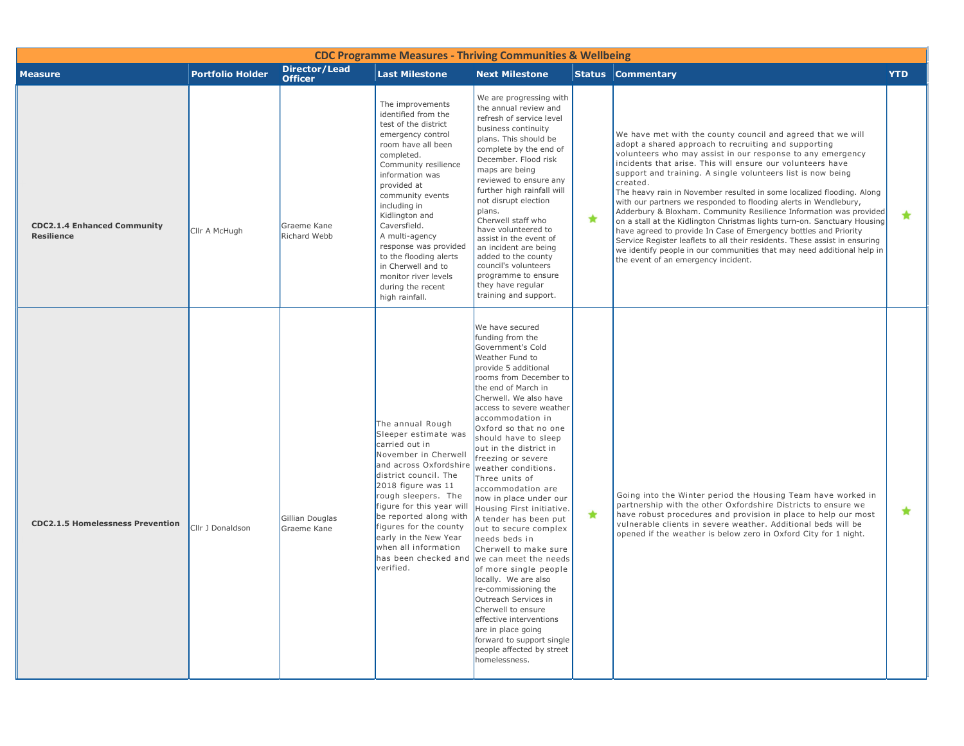| <b>CDC Programme Measures - Thriving Communities &amp; Wellbeing</b> |                         |                                        |                                                                                                                                                                                                                                                                                                                                                                                                                    |                                                                                                                                                                                                                                                                                                                                                                                                                                                                                                                                                                                                                                                                                                                                                                                                                                                   |            |                                                                                                                                                                                                                                                                                                                                                                                                                                                                                                                                                                                                                                                                                                                                                                                                                                                                                              |            |  |  |  |
|----------------------------------------------------------------------|-------------------------|----------------------------------------|--------------------------------------------------------------------------------------------------------------------------------------------------------------------------------------------------------------------------------------------------------------------------------------------------------------------------------------------------------------------------------------------------------------------|---------------------------------------------------------------------------------------------------------------------------------------------------------------------------------------------------------------------------------------------------------------------------------------------------------------------------------------------------------------------------------------------------------------------------------------------------------------------------------------------------------------------------------------------------------------------------------------------------------------------------------------------------------------------------------------------------------------------------------------------------------------------------------------------------------------------------------------------------|------------|----------------------------------------------------------------------------------------------------------------------------------------------------------------------------------------------------------------------------------------------------------------------------------------------------------------------------------------------------------------------------------------------------------------------------------------------------------------------------------------------------------------------------------------------------------------------------------------------------------------------------------------------------------------------------------------------------------------------------------------------------------------------------------------------------------------------------------------------------------------------------------------------|------------|--|--|--|
| <b>Measure</b>                                                       | <b>Portfolio Holder</b> | <b>Director/Lead</b><br><b>Officer</b> | <b>Last Milestone</b>                                                                                                                                                                                                                                                                                                                                                                                              | <b>Next Milestone</b>                                                                                                                                                                                                                                                                                                                                                                                                                                                                                                                                                                                                                                                                                                                                                                                                                             |            | <b>Status Commentary</b>                                                                                                                                                                                                                                                                                                                                                                                                                                                                                                                                                                                                                                                                                                                                                                                                                                                                     | <b>YTD</b> |  |  |  |
| <b>CDC2.1.4 Enhanced Community</b><br><b>Resilience</b>              | Cllr A McHugh           | Graeme Kane<br>Richard Webb            | The improvements<br>identified from the<br>test of the district<br>emergency control<br>room have all been<br>completed.<br>Community resilience<br>information was<br>provided at<br>community events<br>including in<br>Kidlington and<br>Caversfield.<br>A multi-agency<br>response was provided<br>to the flooding alerts<br>in Cherwell and to<br>monitor river levels<br>during the recent<br>high rainfall. | We are progressing with<br>the annual review and<br>refresh of service level<br>business continuity<br>plans. This should be<br>complete by the end of<br>December. Flood risk<br>maps are being<br>reviewed to ensure any<br>further high rainfall will<br>not disrupt election<br>plans.<br>Cherwell staff who<br>have volunteered to<br>assist in the event of<br>an incident are being<br>added to the county<br>council's volunteers<br>programme to ensure<br>they have regular<br>training and support.                                                                                                                                                                                                                                                                                                                                    | $\bigstar$ | We have met with the county council and agreed that we will<br>adopt a shared approach to recruiting and supporting<br>volunteers who may assist in our response to any emergency<br>incidents that arise. This will ensure our volunteers have<br>support and training. A single volunteers list is now being<br>created.<br>The heavy rain in November resulted in some localized flooding. Along<br>with our partners we responded to flooding alerts in Wendlebury,<br>Adderbury & Bloxham. Community Resilience Information was provided<br>on a stall at the Kidlington Christmas lights turn-on. Sanctuary Housing<br>have agreed to provide In Case of Emergency bottles and Priority<br>Service Register leaflets to all their residents. These assist in ensuring<br>we identify people in our communities that may need additional help in<br>the event of an emergency incident. | $\star$    |  |  |  |
| <b>CDC2.1.5 Homelessness Prevention</b>                              | Cllr J Donaldson        | Gillian Douglas<br>Graeme Kane         | The annual Rough<br>Sleeper estimate was<br>carried out in<br>November in Cherwell<br>and across Oxfordshire<br>district council. The<br>2018 figure was 11<br>rough sleepers. The<br>figure for this year will<br>be reported along with<br>figures for the county<br>early in the New Year<br>when all information<br>verified.                                                                                  | We have secured<br>funding from the<br>Government's Cold<br>Weather Fund to<br>provide 5 additional<br>rooms from December to<br>the end of March in<br>Cherwell. We also have<br>access to severe weather<br>accommodation in<br>Oxford so that no one<br>should have to sleep<br>out in the district in<br>freezing or severe<br>weather conditions.<br>Three units of<br>accommodation are<br>now in place under our<br>Housing First initiative.<br>A tender has been put<br>out to secure complex<br>needs beds in<br>Cherwell to make sure<br>has been checked and we can meet the needs<br>of more single people<br>locally. We are also<br>re-commissioning the<br>Outreach Services in<br>Cherwell to ensure<br>effective interventions<br>are in place going<br>forward to support single<br>people affected by street<br>homelessness. | $\star$    | Going into the Winter period the Housing Team have worked in<br>partnership with the other Oxfordshire Districts to ensure we<br>have robust procedures and provision in place to help our most<br>vulnerable clients in severe weather. Additional beds will be<br>opened if the weather is below zero in Oxford City for 1 night.                                                                                                                                                                                                                                                                                                                                                                                                                                                                                                                                                          | $\star$    |  |  |  |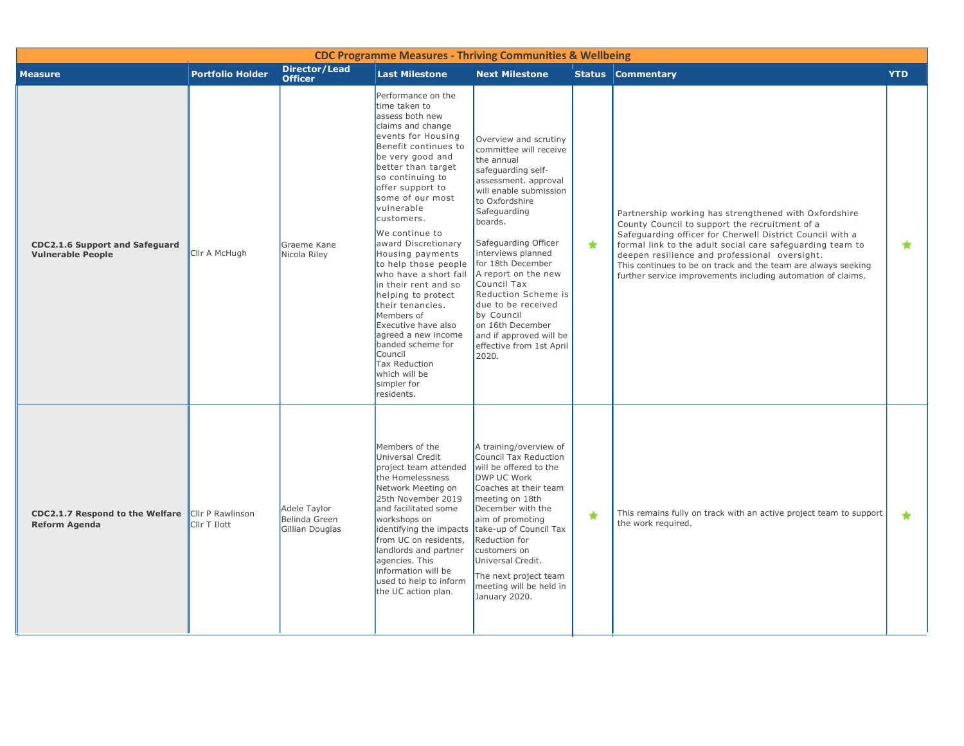| <b>CDC Programme Measures - Thriving Communities &amp; Wellbeing</b>            |                         |                                                  |                                                                                                                                                                                                                                                                                                                                                                                                                                                                                                                                                                                                               |                                                                                                                                                                                                                                                                                                                                                                                                                                            |            |                                                                                                                                                                                                                                                                                                                                                                                                                     |            |  |  |  |
|---------------------------------------------------------------------------------|-------------------------|--------------------------------------------------|---------------------------------------------------------------------------------------------------------------------------------------------------------------------------------------------------------------------------------------------------------------------------------------------------------------------------------------------------------------------------------------------------------------------------------------------------------------------------------------------------------------------------------------------------------------------------------------------------------------|--------------------------------------------------------------------------------------------------------------------------------------------------------------------------------------------------------------------------------------------------------------------------------------------------------------------------------------------------------------------------------------------------------------------------------------------|------------|---------------------------------------------------------------------------------------------------------------------------------------------------------------------------------------------------------------------------------------------------------------------------------------------------------------------------------------------------------------------------------------------------------------------|------------|--|--|--|
| <b>Measure</b>                                                                  | <b>Portfolio Holder</b> | <b>Director/Lead</b><br><b>Officer</b>           | <b>Last Milestone</b>                                                                                                                                                                                                                                                                                                                                                                                                                                                                                                                                                                                         | <b>Next Milestone</b>                                                                                                                                                                                                                                                                                                                                                                                                                      |            | <b>Status Commentary</b>                                                                                                                                                                                                                                                                                                                                                                                            | <b>YTD</b> |  |  |  |
| <b>CDC2.1.6 Support and Safeguard</b><br><b>Vulnerable People</b>               | Cllr A McHugh           | Graeme Kane<br>Nicola Riley                      | Performance on the<br>time taken to<br>assess both new<br>claims and change<br>events for Housing<br>Benefit continues to<br>be very good and<br>better than target<br>so continuing to<br>offer support to<br>some of our most<br>vulnerable<br>customers.<br>We continue to<br>award Discretionary<br>Housing payments<br>to help those people<br>who have a short fall<br>in their rent and so<br>helping to protect<br>their tenancies.<br>Members of<br>Executive have also<br>agreed a new income<br>banded scheme for<br>Council<br><b>Tax Reduction</b><br>which will be<br>simpler for<br>residents. | Overview and scrutiny<br>committee will receive<br>the annual<br>safeguarding self-<br>assessment. approval<br>will enable submission<br>to Oxfordshire<br>Safequarding<br>boards.<br>Safeguarding Officer<br>interviews planned<br>for 18th December<br>A report on the new<br>Council Tax<br>Reduction Scheme is<br>due to be received<br>by Council<br>on 16th December<br>and if approved will be<br>effective from 1st April<br>2020. | $\bigstar$ | Partnership working has strengthened with Oxfordshire<br>County Council to support the recruitment of a<br>Safeguarding officer for Cherwell District Council with a<br>formal link to the adult social care safeguarding team to<br>deepen resilience and professional oversight.<br>This continues to be on track and the team are always seeking<br>further service improvements including automation of claims. | $\star$    |  |  |  |
| <b>CDC2.1.7 Respond to the Welfare</b> Cllr P Rawlinson<br><b>Reform Agenda</b> | Cllr T Ilott            | Adele Taylor<br>Belinda Green<br>Gillian Douglas | Members of the<br><b>Universal Credit</b><br>project team attended<br>the Homelessness<br>Network Meeting on<br>25th November 2019<br>and facilitated some<br>workshops on<br>identifying the impacts<br>from UC on residents,<br>landlords and partner<br>agencies. This<br>information will be<br>used to help to inform<br>the UC action plan.                                                                                                                                                                                                                                                             | A training/overview of<br>Council Tax Reduction<br>will be offered to the<br>DWP UC Work<br>Coaches at their team<br>meeting on 18th<br>December with the<br>aim of promoting<br>take-up of Council Tax<br>Reduction for<br>customers on<br>Universal Credit.<br>The next project team<br>meeting will be held in<br>January 2020.                                                                                                         | $\star$    | This remains fully on track with an active project team to support<br>the work required.                                                                                                                                                                                                                                                                                                                            | $\bigstar$ |  |  |  |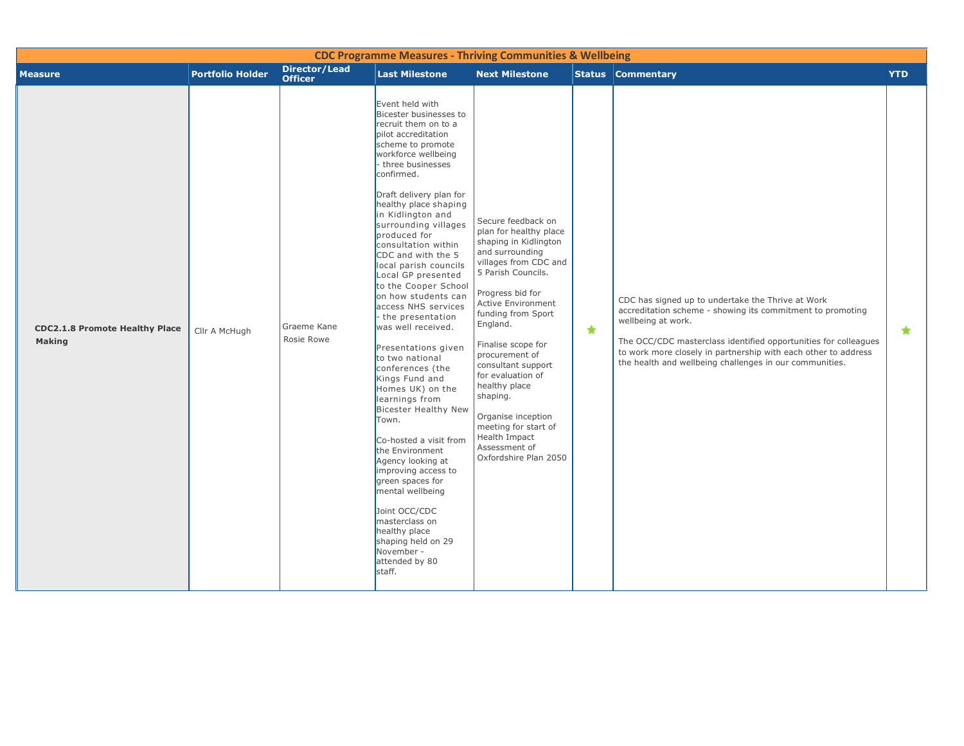|                                                        |                         |                                        | <b>CDC Programme Measures - Thriving Communities &amp; Wellbeing</b>                                                                                                                                                                                                                                                                                                                                                                                                                                                                                                                                                                                                                                                                                                                                                                                                                                                       |                                                                                                                                                                                                                                                                                                                                                                                                                                                     |         |                                                                                                                                                                                                                                                                                                                                       |            |
|--------------------------------------------------------|-------------------------|----------------------------------------|----------------------------------------------------------------------------------------------------------------------------------------------------------------------------------------------------------------------------------------------------------------------------------------------------------------------------------------------------------------------------------------------------------------------------------------------------------------------------------------------------------------------------------------------------------------------------------------------------------------------------------------------------------------------------------------------------------------------------------------------------------------------------------------------------------------------------------------------------------------------------------------------------------------------------|-----------------------------------------------------------------------------------------------------------------------------------------------------------------------------------------------------------------------------------------------------------------------------------------------------------------------------------------------------------------------------------------------------------------------------------------------------|---------|---------------------------------------------------------------------------------------------------------------------------------------------------------------------------------------------------------------------------------------------------------------------------------------------------------------------------------------|------------|
| <b>Measure</b>                                         | <b>Portfolio Holder</b> | <b>Director/Lead</b><br><b>Officer</b> | <b>Last Milestone</b>                                                                                                                                                                                                                                                                                                                                                                                                                                                                                                                                                                                                                                                                                                                                                                                                                                                                                                      | <b>Next Milestone</b>                                                                                                                                                                                                                                                                                                                                                                                                                               |         | <b>Status Commentary</b>                                                                                                                                                                                                                                                                                                              | <b>YTD</b> |
| <b>CDC2.1.8 Promote Healthy Place</b><br><b>Making</b> | Cllr A McHugh           | Graeme Kane<br>Rosie Rowe              | Event held with<br>Bicester businesses to<br>recruit them on to a<br>pilot accreditation<br>scheme to promote<br>workforce wellbeing<br>- three businesses<br>confirmed.<br>Draft delivery plan for<br>healthy place shaping<br>in Kidlington and<br>surrounding villages<br>produced for<br>consultation within<br>CDC and with the 5<br>local parish councils<br>Local GP presented<br>to the Cooper School<br>on how students can<br>access NHS services<br>- the presentation<br>was well received.<br>Presentations given<br>to two national<br>conferences (the<br>Kings Fund and<br>Homes UK) on the<br>learnings from<br><b>Bicester Healthy New</b><br>Town.<br>Co-hosted a visit from<br>the Environment<br>Agency looking at<br>improving access to<br>green spaces for<br>mental wellbeing<br>Joint OCC/CDC<br>masterclass on<br>healthy place<br>shaping held on 29<br>November -<br>attended by 80<br>staff. | Secure feedback on<br>plan for healthy place<br>shaping in Kidlington<br>and surrounding<br>villages from CDC and<br>5 Parish Councils.<br>Progress bid for<br><b>Active Environment</b><br>funding from Sport<br>England.<br>Finalise scope for<br>procurement of<br>consultant support<br>for evaluation of<br>healthy place<br>shaping.<br>Organise inception<br>meeting for start of<br>Health Impact<br>Assessment of<br>Oxfordshire Plan 2050 | $\star$ | CDC has signed up to undertake the Thrive at Work<br>accreditation scheme - showing its commitment to promoting<br>wellbeing at work.<br>The OCC/CDC masterclass identified opportunities for colleagues<br>to work more closely in partnership with each other to address<br>the health and wellbeing challenges in our communities. | $\star$    |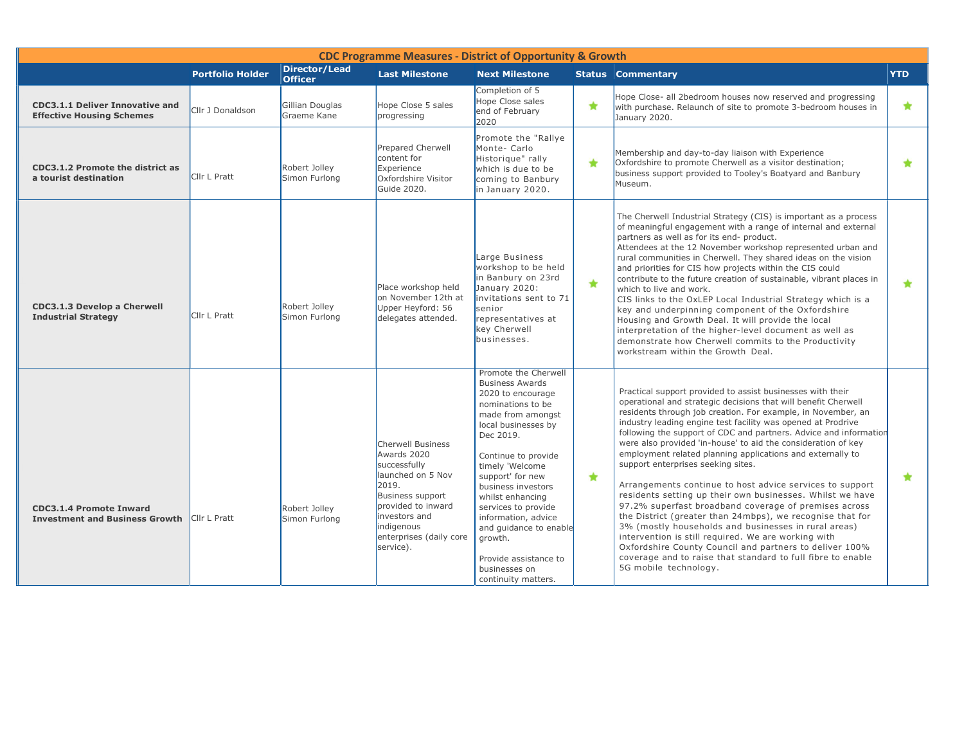|                                                                            |                         |                                        | <b>CDC Programme Measures - District of Opportunity &amp; Growth</b>                                                                                                                                          |                                                                                                                                                                                                                                                                                                                                                                                                               |            |                                                                                                                                                                                                                                                                                                                                                                                                                                                                                                                                                                                                                                                                                                                                                                                                                                                                                                                                                                                                                         |                     |
|----------------------------------------------------------------------------|-------------------------|----------------------------------------|---------------------------------------------------------------------------------------------------------------------------------------------------------------------------------------------------------------|---------------------------------------------------------------------------------------------------------------------------------------------------------------------------------------------------------------------------------------------------------------------------------------------------------------------------------------------------------------------------------------------------------------|------------|-------------------------------------------------------------------------------------------------------------------------------------------------------------------------------------------------------------------------------------------------------------------------------------------------------------------------------------------------------------------------------------------------------------------------------------------------------------------------------------------------------------------------------------------------------------------------------------------------------------------------------------------------------------------------------------------------------------------------------------------------------------------------------------------------------------------------------------------------------------------------------------------------------------------------------------------------------------------------------------------------------------------------|---------------------|
|                                                                            | <b>Portfolio Holder</b> | <b>Director/Lead</b><br><b>Officer</b> | <b>Last Milestone</b>                                                                                                                                                                                         | <b>Next Milestone</b>                                                                                                                                                                                                                                                                                                                                                                                         |            | <b>Status Commentary</b>                                                                                                                                                                                                                                                                                                                                                                                                                                                                                                                                                                                                                                                                                                                                                                                                                                                                                                                                                                                                | <b>YTD</b>          |
| <b>CDC3.1.1 Deliver Innovative and</b><br><b>Effective Housing Schemes</b> | Cllr J Donaldson        | Gillian Douglas<br>Graeme Kane         | Hope Close 5 sales<br>progressing                                                                                                                                                                             | Completion of 5<br>Hope Close sales<br>end of February<br>2020                                                                                                                                                                                                                                                                                                                                                | $\bigstar$ | Hope Close- all 2bedroom houses now reserved and progressing<br>with purchase. Relaunch of site to promote 3-bedroom houses in<br>January 2020.                                                                                                                                                                                                                                                                                                                                                                                                                                                                                                                                                                                                                                                                                                                                                                                                                                                                         | $\star$             |
| <b>CDC3.1.2 Promote the district as</b><br>a tourist destination           | Cllr L Pratt            | Robert Jolley<br>Simon Furlong         | Prepared Cherwell<br>content for<br>Experience<br>Oxfordshire Visitor<br>Guide 2020.                                                                                                                          | Promote the "Rallye"<br>Monte-Carlo<br>Historique" rally<br>which is due to be<br>coming to Banbury<br>in January 2020.                                                                                                                                                                                                                                                                                       | $\bigstar$ | Membership and day-to-day liaison with Experience<br>Oxfordshire to promote Cherwell as a visitor destination;<br>business support provided to Tooley's Boatyard and Banbury<br>Museum.                                                                                                                                                                                                                                                                                                                                                                                                                                                                                                                                                                                                                                                                                                                                                                                                                                 | ★                   |
| CDC3.1.3 Develop a Cherwell<br><b>Industrial Strategy</b>                  | Cllr L Pratt            | Robert Jolley<br>Simon Furlong         | Place workshop held<br>on November 12th at<br>Upper Heyford: 56<br>delegates attended.                                                                                                                        | Large Business<br>workshop to be held<br>in Banbury on 23rd<br>January 2020:<br>invitations sent to 71<br>senior<br>representatives at<br>key Cherwell<br>businesses.                                                                                                                                                                                                                                         | $\bigstar$ | The Cherwell Industrial Strategy (CIS) is important as a process<br>of meaningful engagement with a range of internal and external<br>partners as well as for its end- product.<br>Attendees at the 12 November workshop represented urban and<br>rural communities in Cherwell. They shared ideas on the vision<br>and priorities for CIS how projects within the CIS could<br>contribute to the future creation of sustainable, vibrant places in<br>which to live and work.<br>CIS links to the OxLEP Local Industrial Strategy which is a<br>key and underpinning component of the Oxfordshire<br>Housing and Growth Deal. It will provide the local<br>interpretation of the higher-level document as well as<br>demonstrate how Cherwell commits to the Productivity<br>workstream within the Growth Deal.                                                                                                                                                                                                        | $\color{red} \star$ |
| <b>CDC3.1.4 Promote Inward</b><br><b>Investment and Business Growth</b>    | Cllr L Pratt            | Robert Jollev<br>Simon Furlong         | <b>Cherwell Business</b><br>Awards 2020<br>successfully<br>launched on 5 Nov<br>2019.<br><b>Business support</b><br>provided to inward<br>investors and<br>indigenous<br>enterprises (daily core<br>service). | Promote the Cherwell<br><b>Business Awards</b><br>2020 to encourage<br>nominations to be<br>made from amongst<br>local businesses by<br>Dec 2019.<br>Continue to provide<br>timely 'Welcome<br>support' for new<br>business investors<br>whilst enhancing<br>services to provide<br>information, advice<br>and guidance to enable<br>growth.<br>Provide assistance to<br>businesses on<br>continuity matters. | $\bigstar$ | Practical support provided to assist businesses with their<br>operational and strategic decisions that will benefit Cherwell<br>residents through job creation. For example, in November, an<br>industry leading engine test facility was opened at Prodrive<br>following the support of CDC and partners. Advice and information<br>were also provided 'in-house' to aid the consideration of key<br>employment related planning applications and externally to<br>support enterprises seeking sites.<br>Arrangements continue to host advice services to support<br>residents setting up their own businesses. Whilst we have<br>97.2% superfast broadband coverage of premises across<br>the District (greater than 24mbps), we recognise that for<br>3% (mostly households and businesses in rural areas)<br>intervention is still required. We are working with<br>Oxfordshire County Council and partners to deliver 100%<br>coverage and to raise that standard to full fibre to enable<br>5G mobile technology. | $\bigstar$          |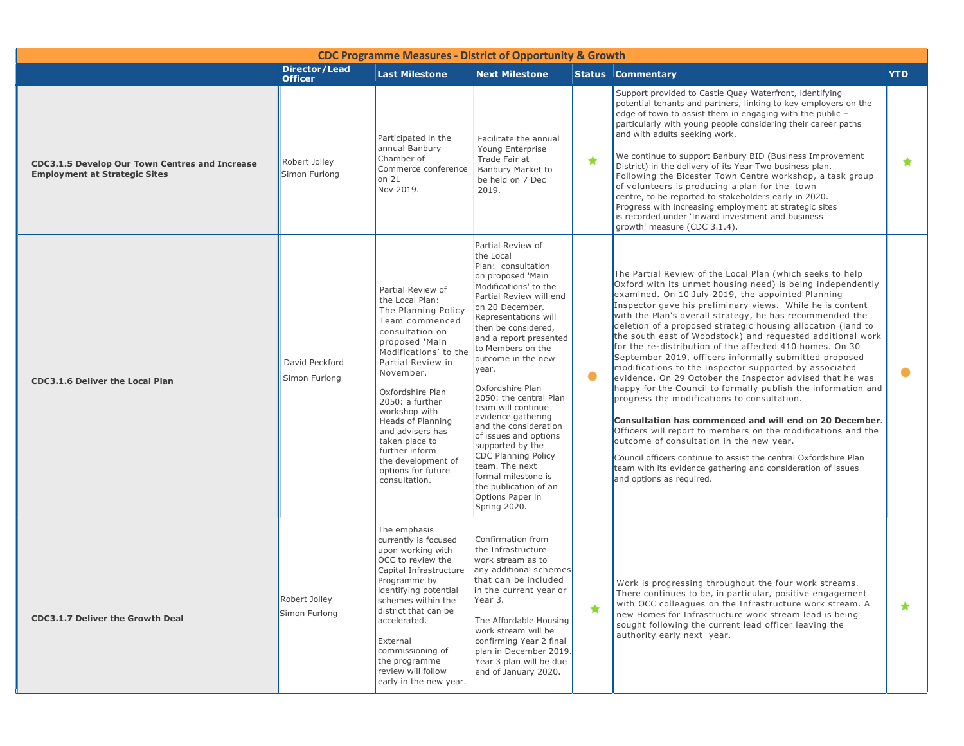| <b>CDC Programme Measures - District of Opportunity &amp; Growth</b>                          |                                        |                                                                                                                                                                                                                                                                                                                                                                                 |                                                                                                                                                                                                                                                                                                                                                                                                                                                                                                                                                                                   |         |                                                                                                                                                                                                                                                                                                                                                                                                                                                                                                                                                                                                                                                                                                                                                                                                                                                                                                                                                                                                                                                                                                                                         |            |  |  |  |  |  |
|-----------------------------------------------------------------------------------------------|----------------------------------------|---------------------------------------------------------------------------------------------------------------------------------------------------------------------------------------------------------------------------------------------------------------------------------------------------------------------------------------------------------------------------------|-----------------------------------------------------------------------------------------------------------------------------------------------------------------------------------------------------------------------------------------------------------------------------------------------------------------------------------------------------------------------------------------------------------------------------------------------------------------------------------------------------------------------------------------------------------------------------------|---------|-----------------------------------------------------------------------------------------------------------------------------------------------------------------------------------------------------------------------------------------------------------------------------------------------------------------------------------------------------------------------------------------------------------------------------------------------------------------------------------------------------------------------------------------------------------------------------------------------------------------------------------------------------------------------------------------------------------------------------------------------------------------------------------------------------------------------------------------------------------------------------------------------------------------------------------------------------------------------------------------------------------------------------------------------------------------------------------------------------------------------------------------|------------|--|--|--|--|--|
|                                                                                               | <b>Director/Lead</b><br><b>Officer</b> | <b>Last Milestone</b>                                                                                                                                                                                                                                                                                                                                                           | <b>Next Milestone</b>                                                                                                                                                                                                                                                                                                                                                                                                                                                                                                                                                             |         | <b>Status Commentary</b>                                                                                                                                                                                                                                                                                                                                                                                                                                                                                                                                                                                                                                                                                                                                                                                                                                                                                                                                                                                                                                                                                                                | <b>YTD</b> |  |  |  |  |  |
| <b>CDC3.1.5 Develop Our Town Centres and Increase</b><br><b>Employment at Strategic Sites</b> | Robert Jolley<br>Simon Furlong         | Participated in the<br>annual Banbury<br>Chamber of<br>Commerce conference<br>on $21$<br>Nov 2019.                                                                                                                                                                                                                                                                              | Facilitate the annual<br>Young Enterprise<br>Trade Fair at<br>Banbury Market to<br>be held on 7 Dec<br>2019.                                                                                                                                                                                                                                                                                                                                                                                                                                                                      | $\star$ | Support provided to Castle Quay Waterfront, identifying<br>potential tenants and partners, linking to key employers on the<br>edge of town to assist them in engaging with the public -<br>particularly with young people considering their career paths<br>and with adults seeking work.<br>We continue to support Banbury BID (Business Improvement<br>District) in the delivery of its Year Two business plan.<br>Following the Bicester Town Centre workshop, a task group<br>of volunteers is producing a plan for the town<br>centre, to be reported to stakeholders early in 2020.<br>Progress with increasing employment at strategic sites<br>is recorded under 'Inward investment and business<br>growth' measure (CDC 3.1.4).                                                                                                                                                                                                                                                                                                                                                                                                | $\star$    |  |  |  |  |  |
| <b>CDC3.1.6 Deliver the Local Plan</b>                                                        | David Peckford<br>Simon Furlong        | Partial Review of<br>the Local Plan:<br>The Planning Policy<br>Team commenced<br>consultation on<br>proposed 'Main<br>Modifications' to the<br>Partial Review in<br>November.<br>Oxfordshire Plan<br>2050: a further<br>workshop with<br>Heads of Planning<br>and advisers has<br>taken place to<br>further inform<br>the development of<br>options for future<br>consultation. | Partial Review of<br>the Local<br>Plan: consultation<br>on proposed 'Main<br>Modifications' to the<br>Partial Review will end<br>on 20 December.<br>Representations will<br>then be considered,<br>and a report presented<br>to Members on the<br>outcome in the new<br>year.<br>Oxfordshire Plan<br>2050: the central Plan<br>team will continue<br>evidence gathering<br>and the consideration<br>of issues and options<br>supported by the<br><b>CDC Planning Policy</b><br>team. The next<br>formal milestone is<br>the publication of an<br>Options Paper in<br>Spring 2020. | ۰       | The Partial Review of the Local Plan (which seeks to help<br>Oxford with its unmet housing need) is being independently<br>examined. On 10 July 2019, the appointed Planning<br>Inspector gave his preliminary views. While he is content<br>with the Plan's overall strategy, he has recommended the<br>deletion of a proposed strategic housing allocation (land to<br>the south east of Woodstock) and requested additional work<br>for the re-distribution of the affected 410 homes. On 30<br>September 2019, officers informally submitted proposed<br>modifications to the Inspector supported by associated<br>evidence. On 29 October the Inspector advised that he was<br>happy for the Council to formally publish the information and<br>progress the modifications to consultation.<br>Consultation has commenced and will end on 20 December.<br>Officers will report to members on the modifications and the<br>outcome of consultation in the new year.<br>Council officers continue to assist the central Oxfordshire Plan<br>team with its evidence gathering and consideration of issues<br>and options as required. | $\bullet$  |  |  |  |  |  |
| <b>CDC3.1.7 Deliver the Growth Deal</b>                                                       | Robert Jolley<br>Simon Furlong         | The emphasis<br>currently is focused<br>upon working with<br>OCC to review the<br>Capital Infrastructure<br>Programme by<br>identifying potential<br>schemes within the<br>district that can be<br>accelerated.<br>External<br>commissioning of<br>the programme<br>review will follow<br>early in the new year.                                                                | Confirmation from<br>the Infrastructure<br>work stream as to<br>any additional schemes<br>that can be included<br>in the current year or<br>Year 3.<br>The Affordable Housing<br>work stream will be<br>confirming Year 2 final<br>plan in December 2019.<br>Year 3 plan will be due<br>end of January 2020.                                                                                                                                                                                                                                                                      | ★       | Work is progressing throughout the four work streams.<br>There continues to be, in particular, positive engagement<br>with OCC colleagues on the Infrastructure work stream. A<br>new Homes for Infrastructure work stream lead is being<br>sought following the current lead officer leaving the<br>authority early next year.                                                                                                                                                                                                                                                                                                                                                                                                                                                                                                                                                                                                                                                                                                                                                                                                         | ★          |  |  |  |  |  |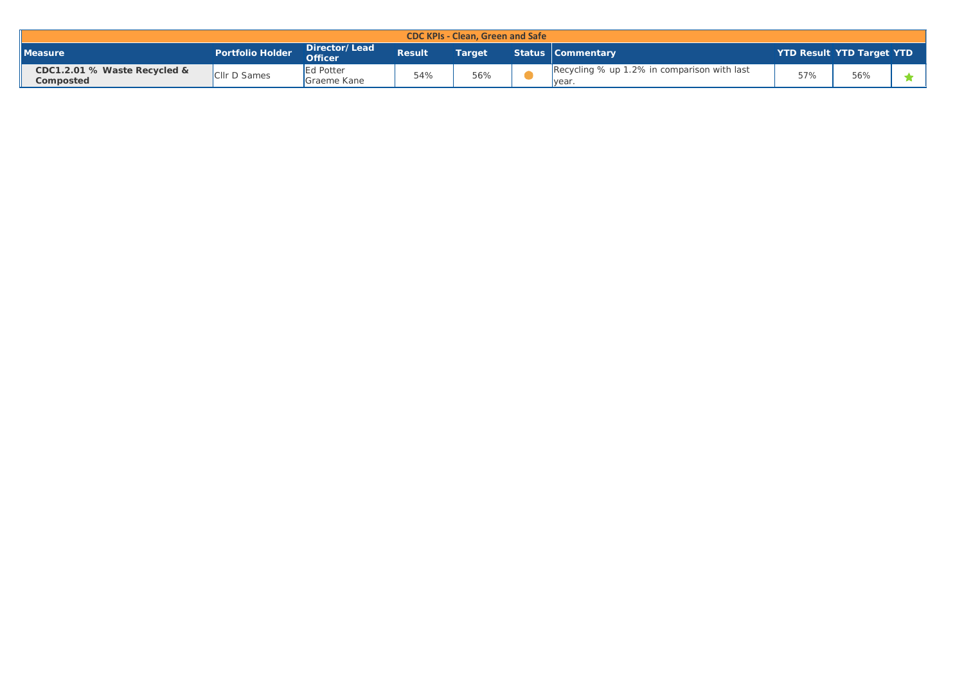| <b>CDC KPIs - Clean, Green and Safe</b>   |                         |                                 |               |        |  |                                                       |                                  |     |  |  |
|-------------------------------------------|-------------------------|---------------------------------|---------------|--------|--|-------------------------------------------------------|----------------------------------|-----|--|--|
| <b>Measure</b>                            | <b>Portfolio Holder</b> | Director/Lead<br><b>Officer</b> | <b>Result</b> | Target |  | <b>Status Commentary</b>                              | <b>YTD Result YTD Target YTD</b> |     |  |  |
| CDC1.2.01 % Waste Recycled &<br>Composted | <b>CIIr D Sames</b>     | Ed Potter<br>Graeme Kane        | 54%           | 56%    |  | Recycling % up 1.2% in comparison with last<br>Ivear. | 57%                              | 56% |  |  |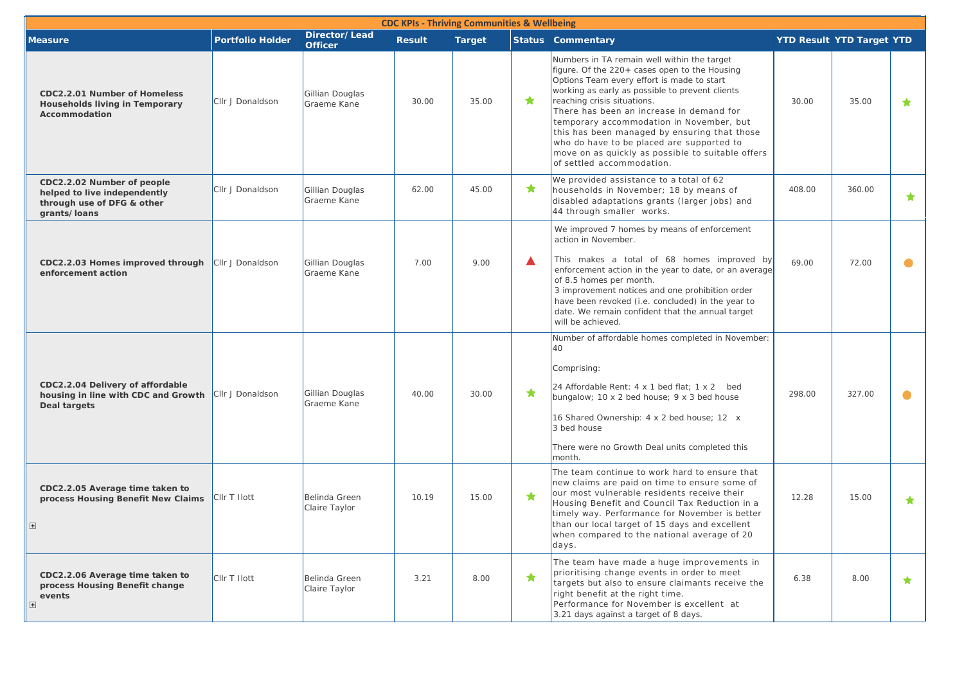| <b>CDC KPIs - Thriving Communities &amp; Wellbeing</b>                                                   |                         |                                 |               |               |   |                                                                                                                                                                                                                                                                                                                                                                                                                                                                                                     |        |                                  |            |  |
|----------------------------------------------------------------------------------------------------------|-------------------------|---------------------------------|---------------|---------------|---|-----------------------------------------------------------------------------------------------------------------------------------------------------------------------------------------------------------------------------------------------------------------------------------------------------------------------------------------------------------------------------------------------------------------------------------------------------------------------------------------------------|--------|----------------------------------|------------|--|
| <b>Measure</b>                                                                                           | <b>Portfolio Holder</b> | Director/Lead<br><b>Officer</b> | <b>Result</b> | <b>Target</b> |   | <b>Status Commentary</b>                                                                                                                                                                                                                                                                                                                                                                                                                                                                            |        | <b>YTD Result YTD Target YTD</b> |            |  |
| CDC2.2.01 Number of Homeless<br>Households living in Temporary<br>Accommodation                          | Cllr J Donaldson        | Gillian Douglas<br>Graeme Kane  | 30.00         | 35.00         | ★ | Numbers in TA remain well within the target<br>figure. Of the 220+ cases open to the Housing<br>Options Team every effort is made to start<br>working as early as possible to prevent clients<br>reaching crisis situations.<br>There has been an increase in demand for<br>temporary accommodation in November, but<br>this has been managed by ensuring that those<br>who do have to be placed are supported to<br>move on as quickly as possible to suitable offers<br>of settled accommodation. | 30.00  | 35.00                            | ★          |  |
| CDC2.2.02 Number of people<br>helped to live independently<br>through use of DFG & other<br>grants/loans | Cllr J Donaldson        | Gillian Douglas<br>Graeme Kane  | 62.00         | 45.00         | ★ | We provided assistance to a total of 62<br>households in November; 18 by means of<br>disabled adaptations grants (larger jobs) and<br>44 through smaller works.                                                                                                                                                                                                                                                                                                                                     | 408.00 | 360.00                           | $\bigstar$ |  |
|                                                                                                          |                         |                                 |               |               |   | We improved 7 homes by means of enforcement<br>action in November.                                                                                                                                                                                                                                                                                                                                                                                                                                  |        |                                  |            |  |
| CDC2.2.03 Homes improved through<br>enforcement action                                                   | Cllr J Donaldson        | Gillian Douglas<br>Graeme Kane  | 7.00          | 9.00          | ▲ | This makes a total of 68 homes improved by<br>enforcement action in the year to date, or an average<br>of 8.5 homes per month.<br>3 improvement notices and one prohibition order<br>have been revoked (i.e. concluded) in the year to<br>date. We remain confident that the annual target<br>will be achieved.                                                                                                                                                                                     | 69.00  | 72.00                            |            |  |
|                                                                                                          |                         |                                 |               |               |   | Number of affordable homes completed in November:<br>40<br>Comprising:                                                                                                                                                                                                                                                                                                                                                                                                                              |        |                                  |            |  |
| CDC2.2.04 Delivery of affordable<br>housing in line with CDC and Growth<br>Deal targets                  | Cllr J Donaldson        | Gillian Douglas<br>Graeme Kane  | 40.00         | 30.00         | ★ | 24 Affordable Rent: $4 \times 1$ bed flat; $1 \times 2$ bed<br>bungalow; 10 x 2 bed house; 9 x 3 bed house                                                                                                                                                                                                                                                                                                                                                                                          | 298.00 | 327.00                           | 0          |  |
|                                                                                                          |                         |                                 |               |               |   | 16 Shared Ownership: 4 x 2 bed house; 12 x<br>3 bed house                                                                                                                                                                                                                                                                                                                                                                                                                                           |        |                                  |            |  |
|                                                                                                          |                         |                                 |               |               |   | There were no Growth Deal units completed this<br>month.                                                                                                                                                                                                                                                                                                                                                                                                                                            |        |                                  |            |  |
| CDC2.2.05 Average time taken to<br>process Housing Benefit New Claims                                    | CIIr T Ilott            | Belinda Green<br>Claire Taylor  | 10.19         | 15.00         | ★ | The team continue to work hard to ensure that<br>new claims are paid on time to ensure some of<br>our most vulnerable residents receive their<br>Housing Benefit and Council Tax Reduction in a<br>timely way. Performance for November is better<br>than our local target of 15 days and excellent<br>when compared to the national average of 20<br>days.                                                                                                                                         | 12.28  | 15.00                            | ★.         |  |
| CDC2.2.06 Average time taken to<br>process Housing Benefit change<br>events<br>$+$                       | CIIr T Ilott            | Belinda Green<br>Claire Taylor  | 3.21          | 8.00          | ★ | The team have made a huge improvements in<br>prioritising change events in order to meet<br>targets but also to ensure claimants receive the<br>right benefit at the right time.<br>Performance for November is excellent at<br>3.21 days against a target of 8 days.                                                                                                                                                                                                                               | 6.38   | 8.00                             | $\bigstar$ |  |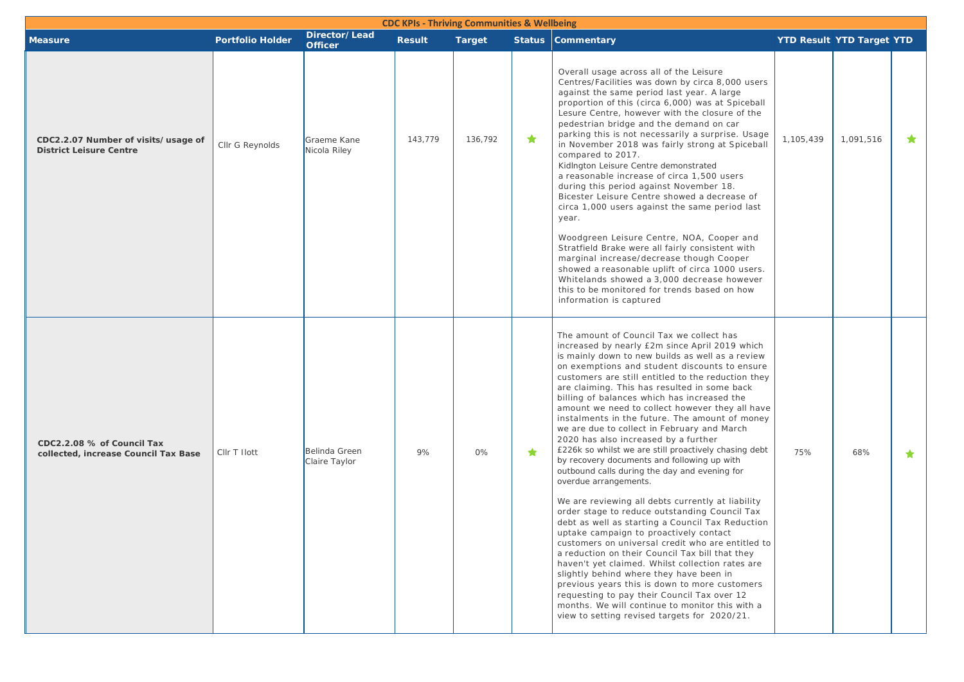| <b>CDC KPIs - Thriving Communities &amp; Wellbeing</b>                |                         |                                 |               |               |            |                                                                                                                                                                                                                                                                                                                                                                                                                                                                                                                                                                                                                                                                                                                                                                                                                                                                                                                                                                                                                                                                                                                                                                                                                                                                                                                                                  |           |                                  |         |  |
|-----------------------------------------------------------------------|-------------------------|---------------------------------|---------------|---------------|------------|--------------------------------------------------------------------------------------------------------------------------------------------------------------------------------------------------------------------------------------------------------------------------------------------------------------------------------------------------------------------------------------------------------------------------------------------------------------------------------------------------------------------------------------------------------------------------------------------------------------------------------------------------------------------------------------------------------------------------------------------------------------------------------------------------------------------------------------------------------------------------------------------------------------------------------------------------------------------------------------------------------------------------------------------------------------------------------------------------------------------------------------------------------------------------------------------------------------------------------------------------------------------------------------------------------------------------------------------------|-----------|----------------------------------|---------|--|
| <b>Measure</b>                                                        | <b>Portfolio Holder</b> | Director/Lead<br><b>Officer</b> | <b>Result</b> | <b>Target</b> |            | <b>Status Commentary</b>                                                                                                                                                                                                                                                                                                                                                                                                                                                                                                                                                                                                                                                                                                                                                                                                                                                                                                                                                                                                                                                                                                                                                                                                                                                                                                                         |           | <b>YTD Result YTD Target YTD</b> |         |  |
| CDC2.2.07 Number of visits/usage of<br><b>District Leisure Centre</b> | Cllr G Reynolds         | Graeme Kane<br>Nicola Riley     | 143,779       | 136,792       | ★          | Overall usage across all of the Leisure<br>Centres/Facilities was down by circa 8,000 users<br>against the same period last year. A large<br>proportion of this (circa 6,000) was at Spiceball<br>Lesure Centre, however with the closure of the<br>pedestrian bridge and the demand on car<br>parking this is not necessarily a surprise. Usage<br>in November 2018 was fairly strong at Spiceball<br>compared to 2017.<br>KidIngton Leisure Centre demonstrated<br>a reasonable increase of circa 1,500 users<br>during this period against November 18.<br>Bicester Leisure Centre showed a decrease of<br>circa 1,000 users against the same period last<br>year.<br>Woodgreen Leisure Centre, NOA, Cooper and<br>Stratfield Brake were all fairly consistent with                                                                                                                                                                                                                                                                                                                                                                                                                                                                                                                                                                           | 1,105,439 | 1,091,516                        | $\star$ |  |
|                                                                       |                         |                                 |               |               |            | marginal increase/decrease though Cooper<br>showed a reasonable uplift of circa 1000 users.<br>Whitelands showed a 3,000 decrease however<br>this to be monitored for trends based on how<br>information is captured                                                                                                                                                                                                                                                                                                                                                                                                                                                                                                                                                                                                                                                                                                                                                                                                                                                                                                                                                                                                                                                                                                                             |           |                                  |         |  |
| CDC2.2.08 % of Council Tax<br>collected, increase Council Tax Base    | CIIr T Ilott            | Belinda Green<br>Claire Taylor  | 9%            | 0%            | $\bigstar$ | The amount of Council Tax we collect has<br>increased by nearly £2m since April 2019 which<br>is mainly down to new builds as well as a review<br>on exemptions and student discounts to ensure<br>customers are still entitled to the reduction they<br>are claiming. This has resulted in some back<br>billing of balances which has increased the<br>amount we need to collect however they all have<br>instalments in the future. The amount of money<br>we are due to collect in February and March<br>2020 has also increased by a further<br>£226k so whilst we are still proactively chasing debt<br>by recovery documents and following up with<br>outbound calls during the day and evening for<br>overdue arrangements.<br>We are reviewing all debts currently at liability<br>order stage to reduce outstanding Council Tax<br>debt as well as starting a Council Tax Reduction<br>uptake campaign to proactively contact<br>customers on universal credit who are entitled to<br>a reduction on their Council Tax bill that they<br>haven't yet claimed. Whilst collection rates are<br>slightly behind where they have been in<br>previous years this is down to more customers<br>requesting to pay their Council Tax over 12<br>months. We will continue to monitor this with a<br>view to setting revised targets for 2020/21. | 75%       | 68%                              | $\star$ |  |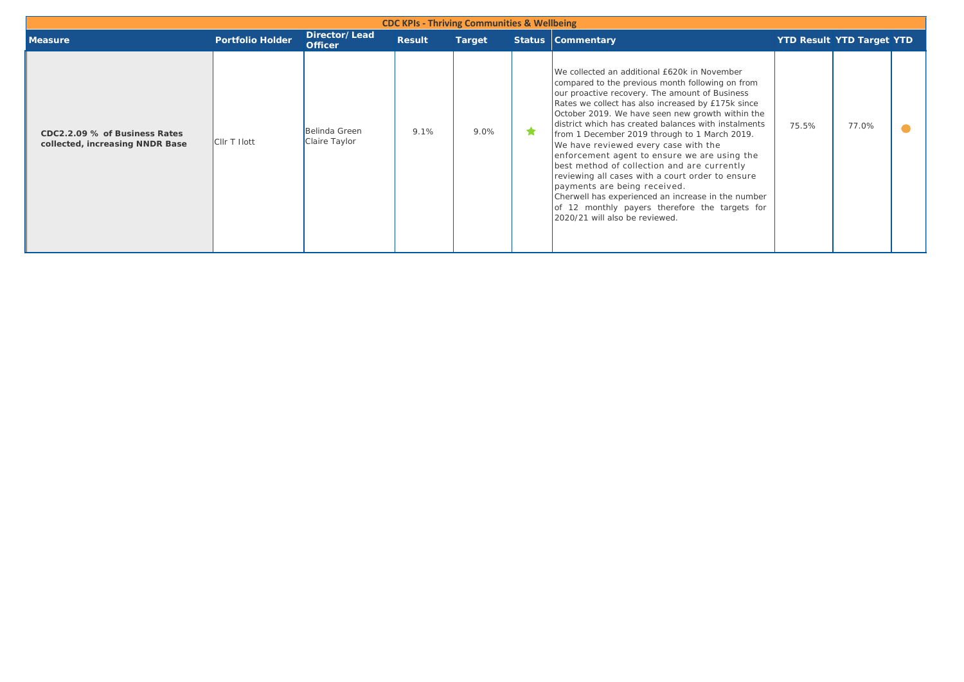| <b>CDC KPIs - Thriving Communities &amp; Wellbeing</b>           |                     |                                 |               |               |  |                                                                                                                                                                                                                                                                                                                                                                                                                                                                                                                                                                                                                                                                                                                                            |       |                                  |  |  |  |  |
|------------------------------------------------------------------|---------------------|---------------------------------|---------------|---------------|--|--------------------------------------------------------------------------------------------------------------------------------------------------------------------------------------------------------------------------------------------------------------------------------------------------------------------------------------------------------------------------------------------------------------------------------------------------------------------------------------------------------------------------------------------------------------------------------------------------------------------------------------------------------------------------------------------------------------------------------------------|-------|----------------------------------|--|--|--|--|
| <b>Measure</b>                                                   | Portfolio Holder    | Director/Lead<br><b>Officer</b> | <b>Result</b> | <b>Target</b> |  | <b>Status Commentary</b>                                                                                                                                                                                                                                                                                                                                                                                                                                                                                                                                                                                                                                                                                                                   |       | <b>YTD Result YTD Target YTD</b> |  |  |  |  |
| CDC2.2.09 % of Business Rates<br>collected, increasing NNDR Base | <b>CIIr T Ilott</b> | Belinda Green<br>Claire Taylor  | 9.1%          | 9.0%          |  | We collected an additional £620k in November<br>compared to the previous month following on from<br>our proactive recovery. The amount of Business<br>Rates we collect has also increased by £175k since<br>October 2019. We have seen new growth within the<br>district which has created balances with instalments<br>from 1 December 2019 through to 1 March 2019.<br>We have reviewed every case with the<br>enforcement agent to ensure we are using the<br>best method of collection and are currently<br>reviewing all cases with a court order to ensure<br>payments are being received.<br>Cherwell has experienced an increase in the number<br>of 12 monthly payers therefore the targets for<br>2020/21 will also be reviewed. | 75.5% | 77.0%                            |  |  |  |  |